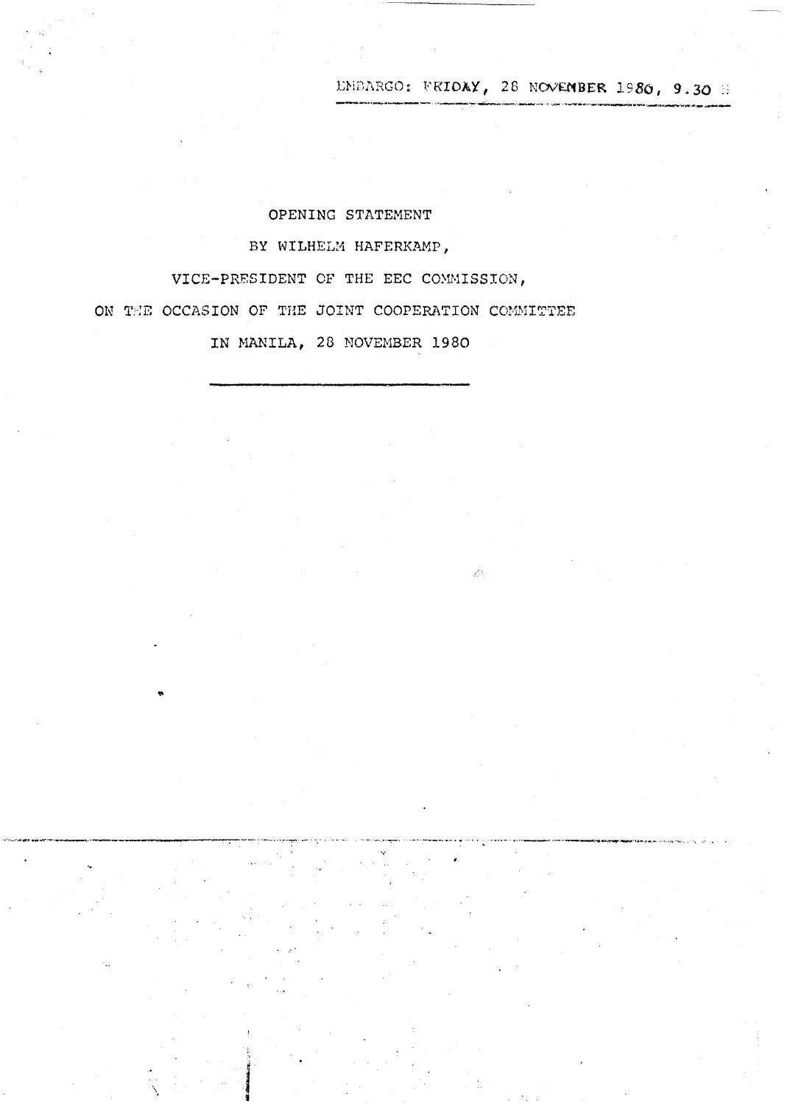EMBARGO: FRIDAY, 28 NOVEMBER 1980, 9.30 H

 $\langle \hat{E} \rangle$ 

## OPENING STATEMENT

# BY WILHELM HAFERKAMP,

VICE-PRESIDENT OF THE EEC COMMISSION, ON THE OCCASION OF THE JOINT COOPERATION COMMITTEE

IN MANILA, 28 NOVEMBER 1980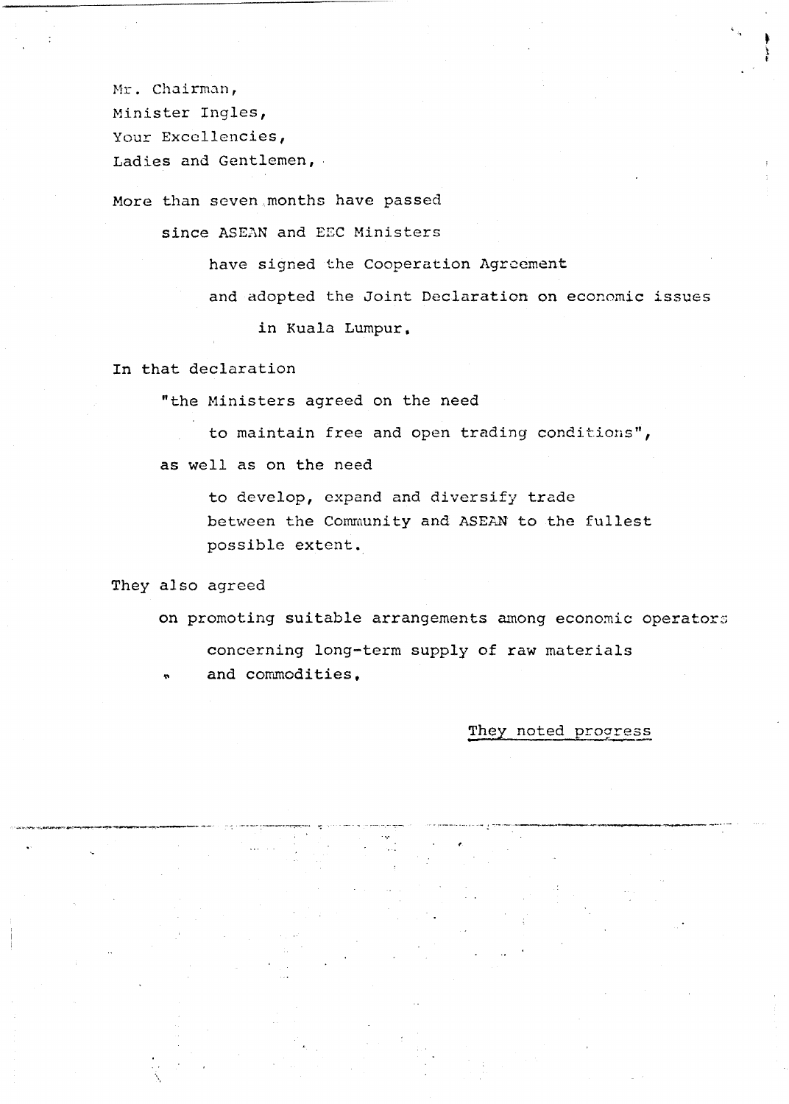Mr. Chairman, Minister Ingles, Your Excellencies, Ladies and Gentlemen,

More than seven months have passed

since ASEAN and EEC Ministers

have signed the Cooperation Agreement

and adopted the Joint Declaration on economic issues

in Kuala Lumpur.

In that declaration

"the Ministers agreed on the need

to maintain free and open trading conditions",

as well as on the need

to develop, expand and diversify trade between the Community and ASEAN to the fullest possible extent.

They also agreed

on promoting suitable arrangements among economic operators concerning long-term supply of raw materials and commodities.

#### They noted progress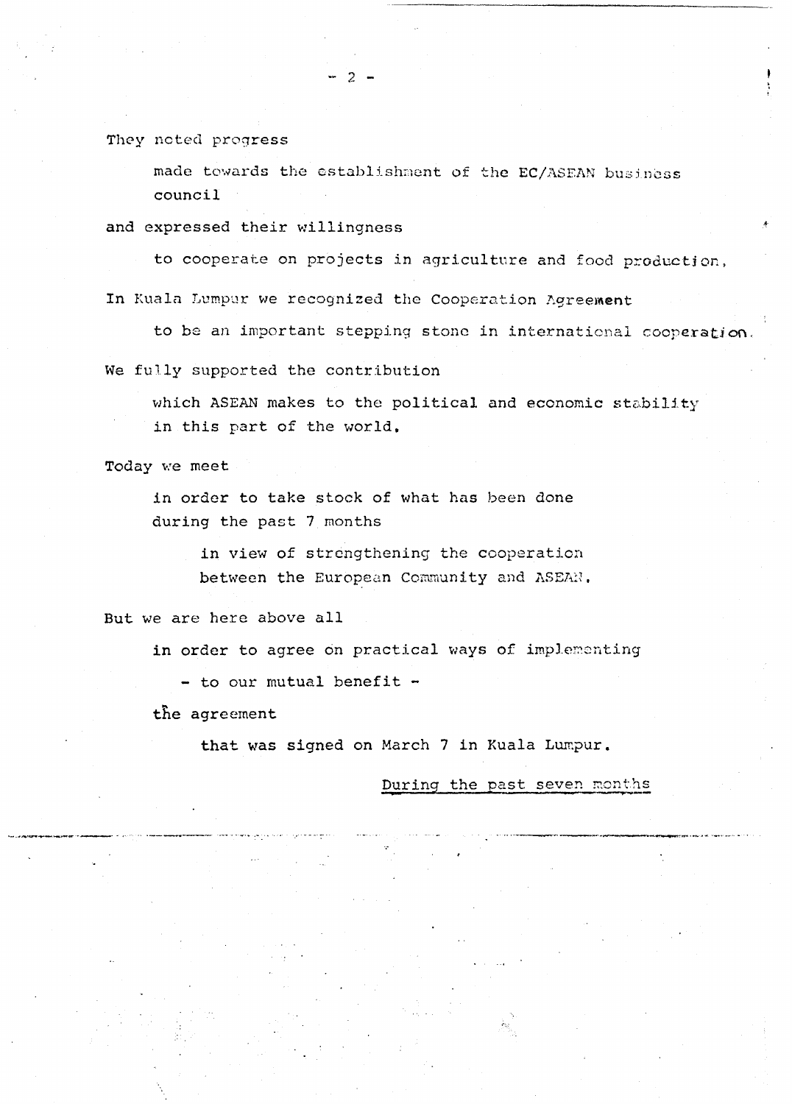They noted progress

made towards the establishment of the EC/ASEAN business council

and expressed their willingness

to cooperate on projects in agricultnre and food production,

In Kuala Lumpur we recognized the Cooperation Agreement

- 2 -

to be an important stepping stone in internaticnal cooperation,

We fully supported the contribution

which ASEAN makes to the political and economic stability in this part of the world.

Today we meet

in order to take stock of what has been done during the past 7 months

> in view of strengthening the cooperation between the European Community and ASEAN.

But we are here above all

in order to agree on practical ways of implementing

 $-$  to our mutual benefit  $-$ 

the agreement

that was signed on March 7 in Kuala Lumpur.

During the past seven months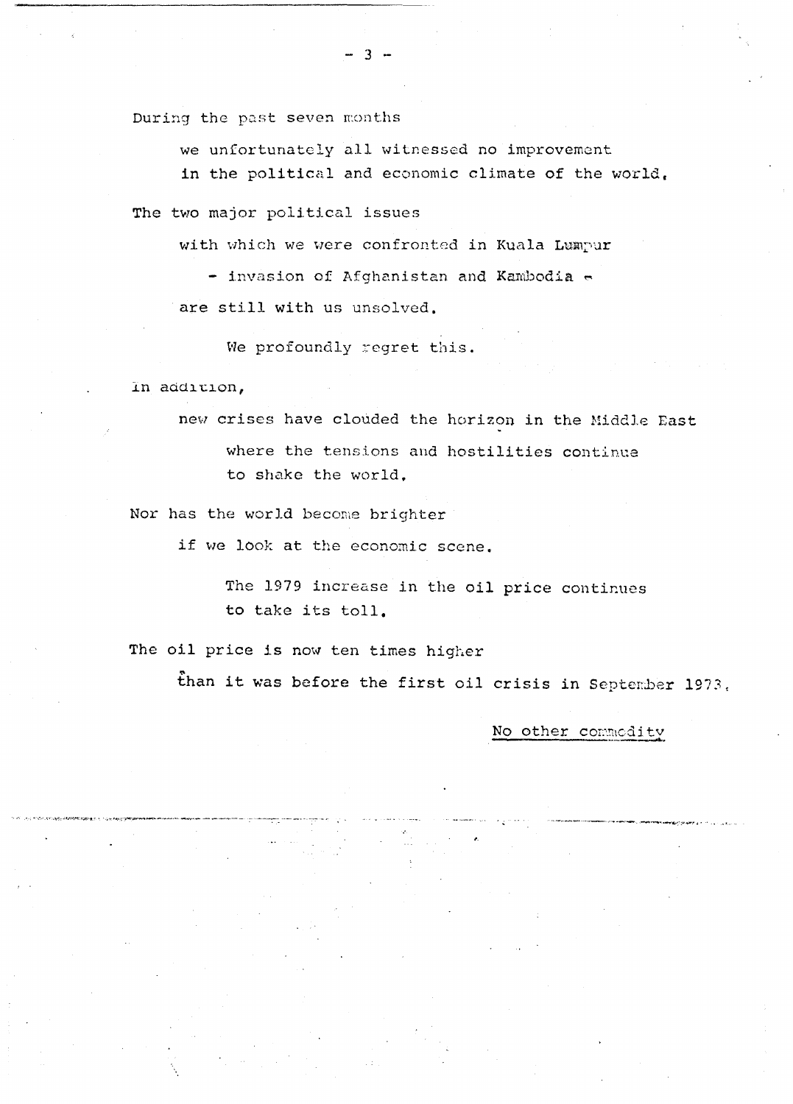During the past seven months

we unfortunately all witnessed no improvement in the political and economic climate of the world,

The two major political issues

with which we were confronted in Kuala Lumpur

- invasion of Afghanistan and Kambodia  $\sim$ 

are still with us unsolved.

We profoundly regret this.

In addition,

new crises have clouded the horizon in the Middle East where the tensions and hostilities continue to shake the world.

Nor has the world become brighter

if we look at the economic scene.

The 1979 increase in the oil price continues to take its toll,

The oil price is now ten times higher

than it was before the first oil crisis in September 1973.

No other commodity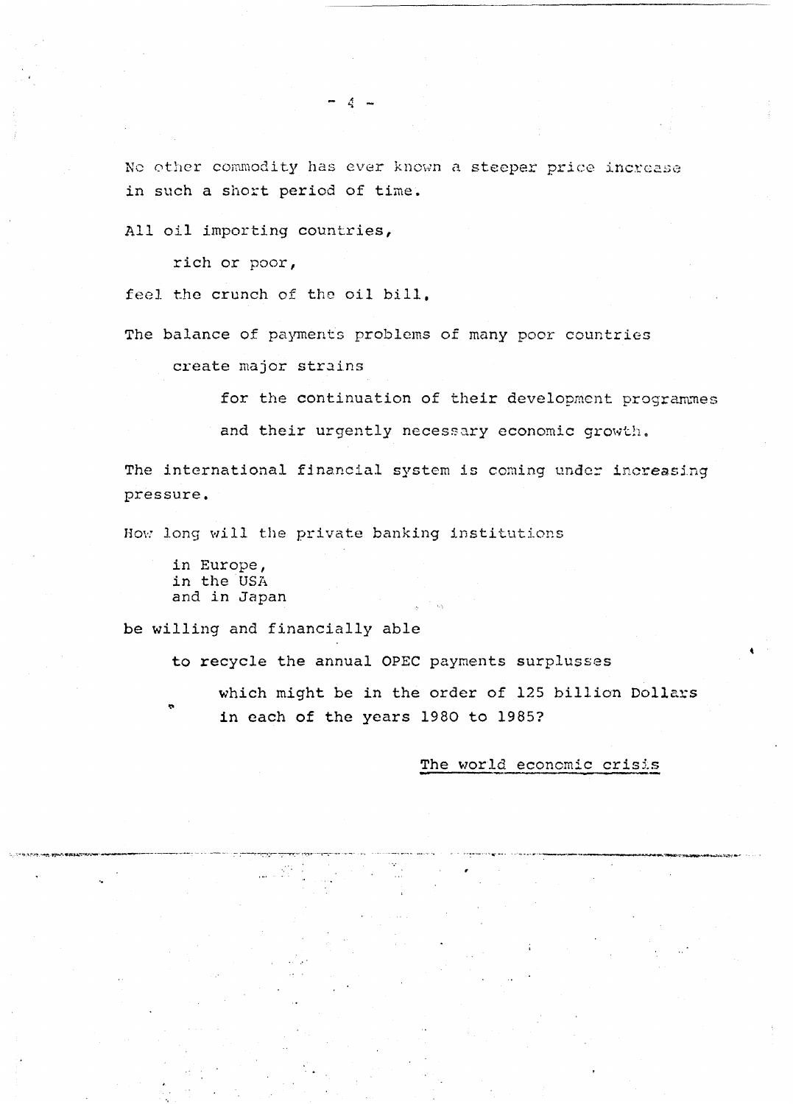No other commodity has ever known a steeper price increase in such a short period of time.

All oil importing countries,

rich or poor,

feel the crunch of the oil bill,

The balance of payments problems of many poor countries

create major strains

for the continuation of their development programmes

and their urgently necessary economic growth.

The international financial system is coming under increasing pressure.

How long will the private banking institutions

in Europe, in the USA and in Japan

be willing and financially able

to recycle the annual OPEC payments surplusses

which might be in the order of 125 billion Dollars in each of the years 1980 to 1985?

The world economic crisis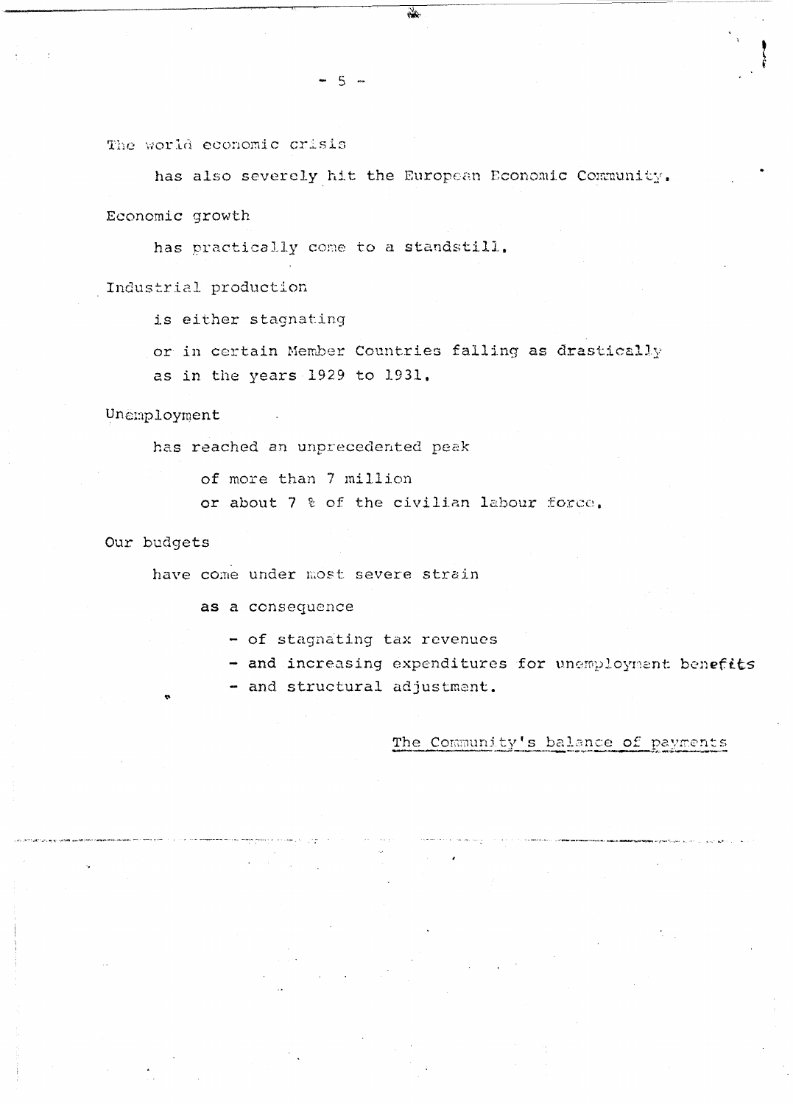The world economic crisis

has also severely hit the European Economic Community. Economic growth

has practically come to a standstill.

Industrial production

is either stagnating

or in certain Member Countries falling as drastically as in the years 1929 to 1931.

Unemployment

has reached an unprecedented peak

of more than 7 million

or about 7 % of the civilian labour force.

### Our budgets

have come under most severe strain

as a consequence

- of stagnating tax revenues

- and increasing expenditures for unemployment benefits

- and structural adjustment.

#### The Community's balance of payments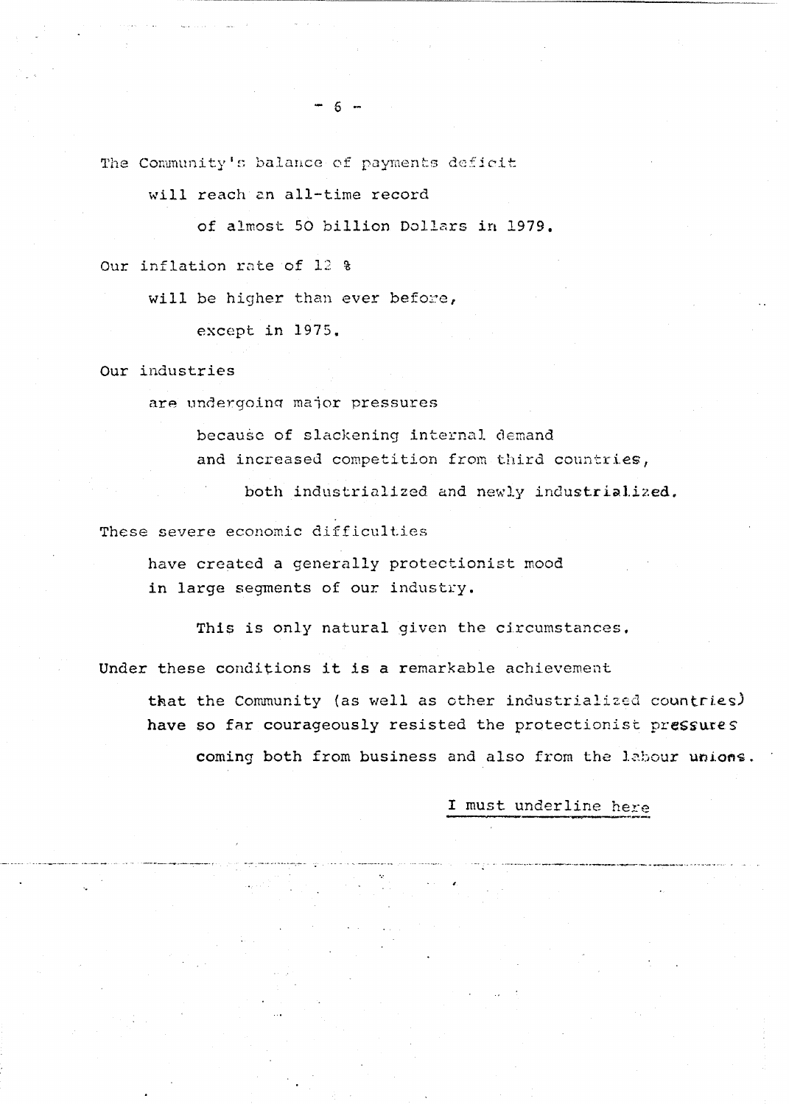The Community's balance of payments deficit

- 6 -

will reach an all-time record

of almost 50 billion Dollars in 1979.

Our inflation rate of 12 %

will be higher than ever before,

except in 1975.

Our industries

are undergoing major pressures

because of slackening internal demand and increased competition from third countries,

both industrialized and newly industrialized.

These severe economic difficulties

have created a generally protectionist mood in large segments of our industry.

This is only natural given the circumstances,

Under these conditions it is a remarkable achievement

that the Community (as well as other industrialized countries) have so far courageously resisted the protectionist pressures coming both from business and also from the labour unions.

I must underline here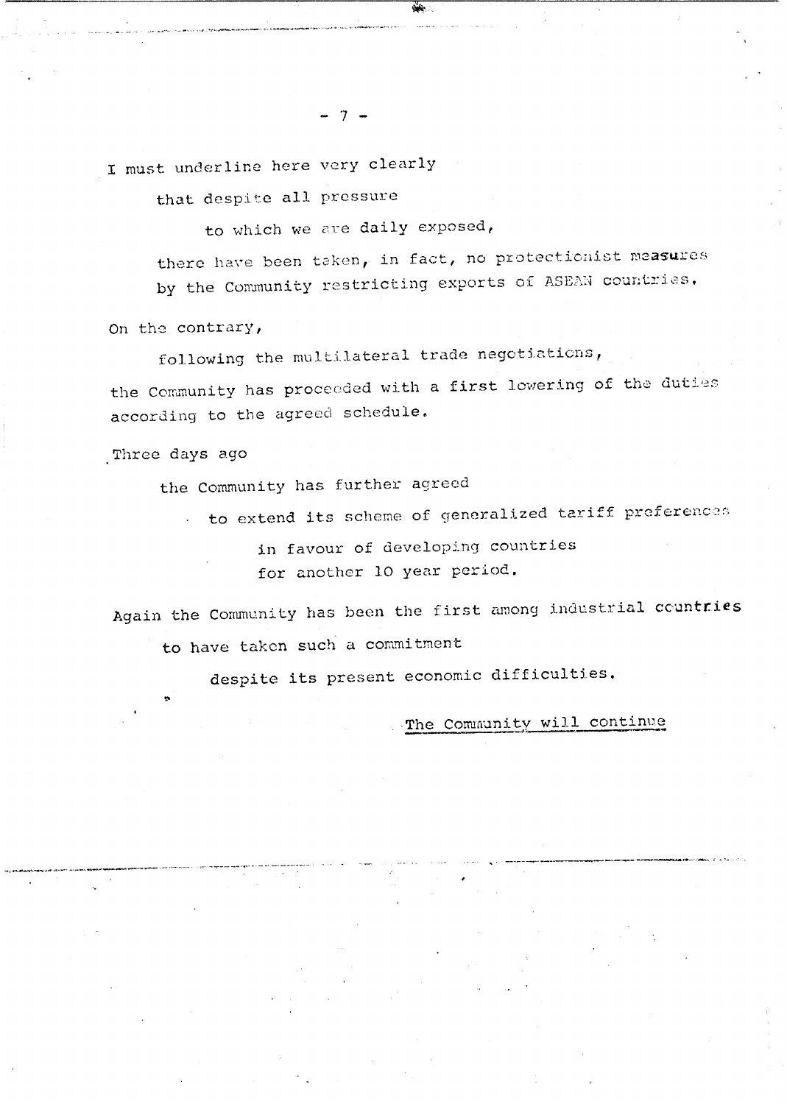I must underline here very clearly

that despite all pressure

to which we are daily exposed,

 $-7 -$ 

there have been taken, in fact, no protectionist measures by the Community restricting exports of ASEAN countries.

On the contrary,

following the multilateral trade negotiations,

the Community has proceeded with a first lowering of the duties according to the agreed schedule.

Three days ago

the Community has further agreed

to extend its scheme of generalized tariff preferences

in favour of developing countries for another 10 year period.

Again the Community has been the first among industrial countries to have taken such a commitment

despite its present economic difficulties.

The Community will continue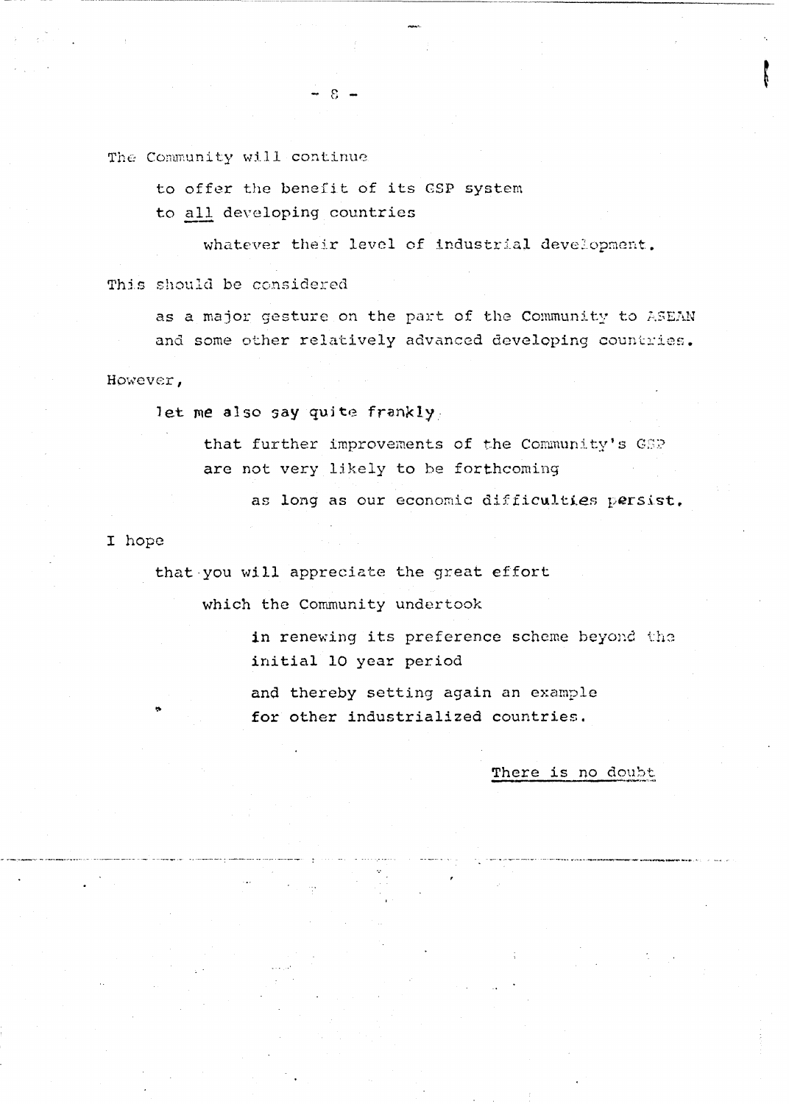The Community will continue

to offer the benefit of its GSP system

 $8 -$ 

to all developing countries

whatever their level of industrial development. This should be considered

as a major gesture on the part of the Community to ASEAN and some other relatively advanced developing countries.

However,

let me also say quite frankly.

that further improvements of the Community's GSP are not very likely to be forthcoming

as long as our economic difficulties persist.

I hope

that you will appreciate the great effort

which the Community undertook

in renewing its preference scheme beyond the initial 10 year period

and thereby setting again an example for other industrialized countries.

There is no doubt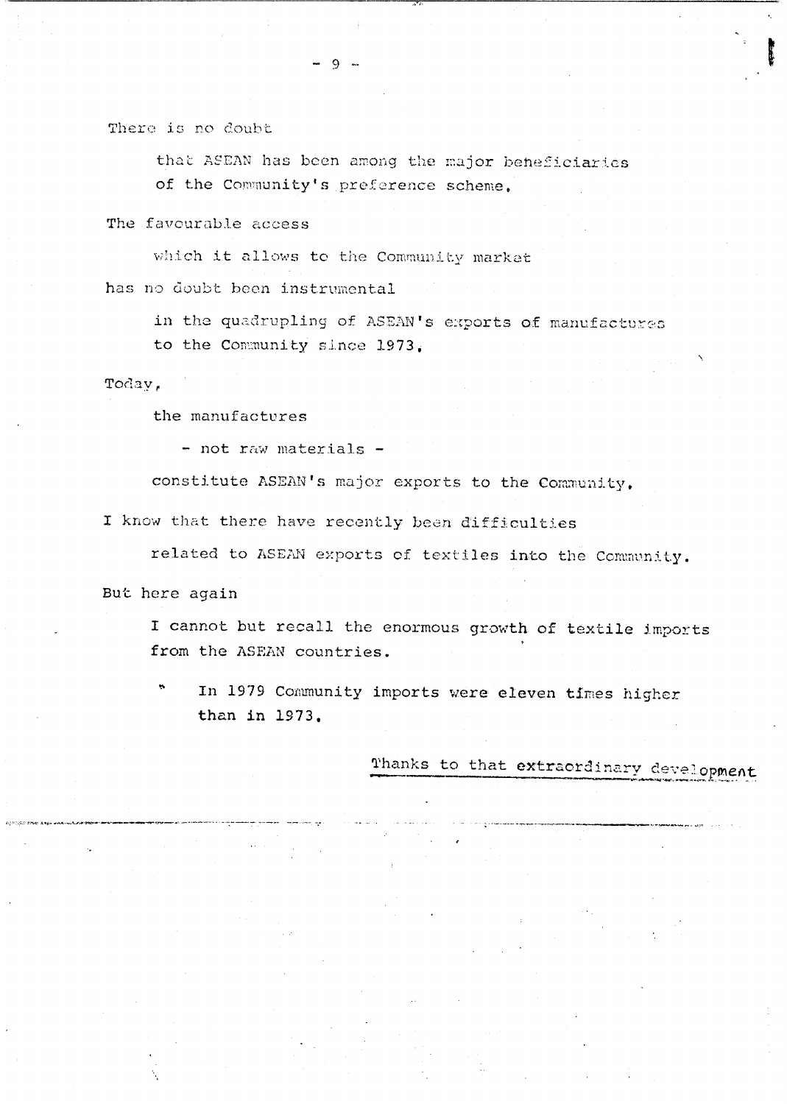There is no doubt

that ASEAN has been among the major beheficiaries of the Community's preference scheme.

The favourable access

which it allows to the Community market

has no doubt been instrumental

in the quadrupling of ASEAN's exports of manufactures to the Community since 1973.

Today,

the manufactures

- not raw materials -

constitute ASEAN's major exports to the Community.

I know that there have recently been difficulties

related to ASEAN exports of textiles into the Community.

But here again

I cannot but recall the enormous growth of textile imports from the ASEAN countries.

÷. In 1979 Community imports were eleven times higher than in 1973.

Thanks to that extraordinary development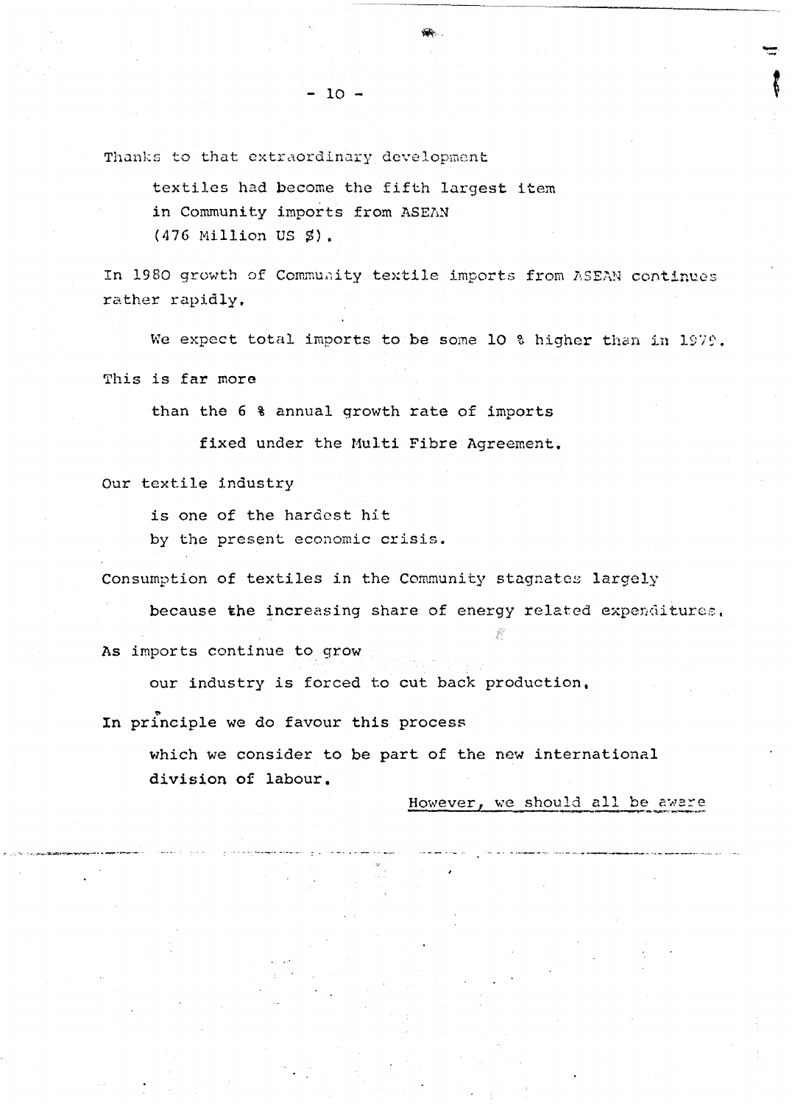Thanks to that extraordinary development

textiles had become the fifth largest item in Community imports from ASEAN  $(476$  Million US  $\AA$ ).

 $-10 -$ 

In 1980 growth of Community textile imports from ASEAN continues rather rapidly.

We expect total imports to be some 10 % higher than in 1979.

This is far more

than the 6 % annual growth rate of imports

fixed under the Multi Fibre Agreement.

Our textile industry

is one of the hardest hit

by the present economic crisis.

Consumption of textiles in the Community stagnates largely

because the increasing share of energy related expenditures,

As imports continue to grow

our industry is forced to cut back production,

In principle we do favour this process

which we consider to be part of the new international division of labour.

However, we should all be aware

---------------------------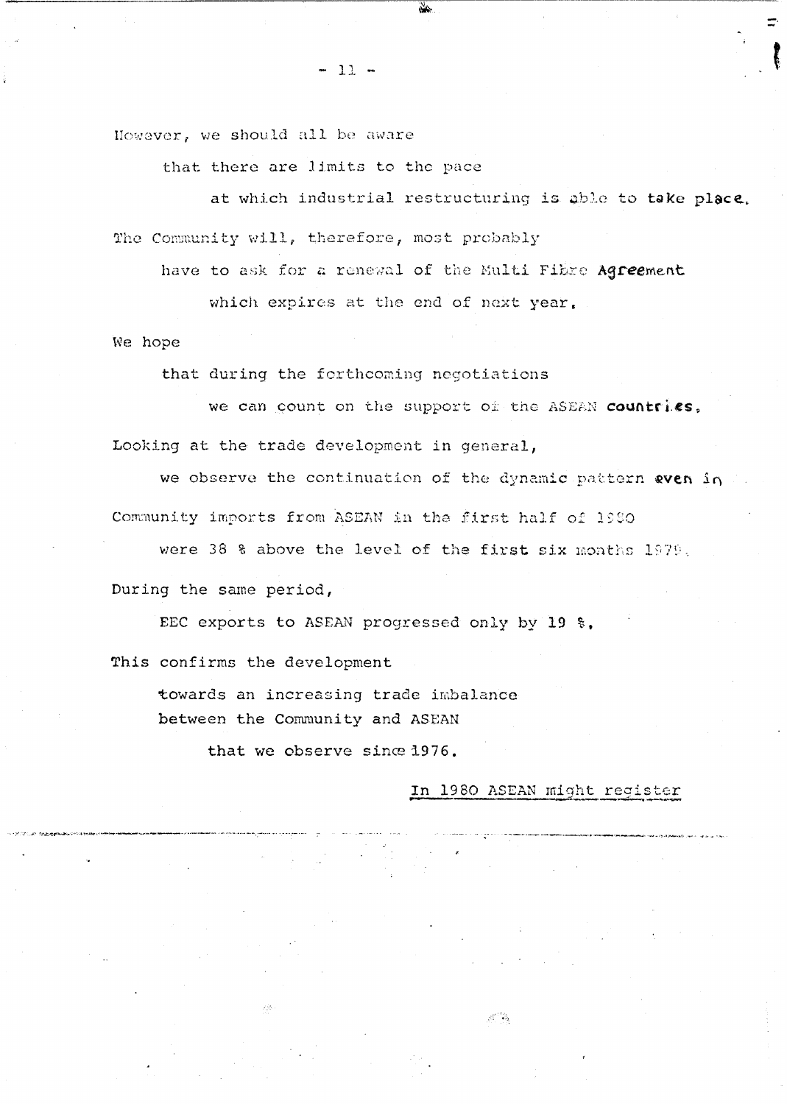$-12 -$ 

However, we should all be aware

that there are limits to the pace

at which industrial restructuring is able to take place. The Community will, therefore, most probably

have to ask for a renewal of the Multi Fibre Agreement

which expires at the end of next year.

We hope

that during the forthcoming negotiations

we can count on the support of the ASEAN countries,

Looking at the trade development in general,

we observe the continuation of the dynamic pattern even in Community imports from ASEAN in the first half of 1980

were 38 % above the level of the first six months 1979,

During the same period,

EEC exports to ASEAN progressed only by 19 %.

This confirms the development

towards an increasing trade imbalance between the Community and ASEAN

that we observe since 1976.

#### In 1980 ASEAN might register

 $\mathcal{S}^{\mathcal{C}^{\mathcal{P} \mathcal{T}} \mathcal{S}}_{\mathbf{a}}$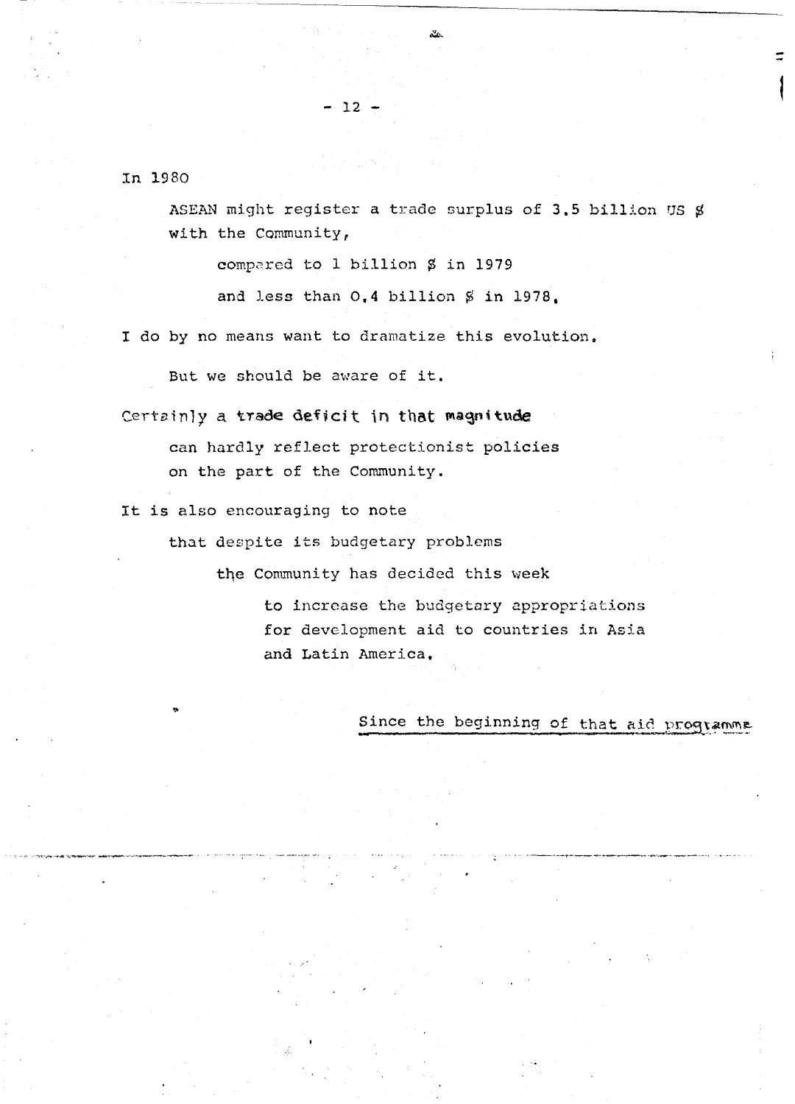In 1980

ASEAN might register a trade surplus of 3.5 billion US \$ with the Community,

ΔÁ.

compared to 1 billion \$ in 1979

 $-12 -$ 

and less than 0.4 billion \$ in 1978.

I do by no means want to dramatize this evolution.

But we should be aware of it.

Certainly a trade deficit in that magnitude

can hardly reflect protectionist policies on the part of the Community.

It is also encouraging to note

that despite its budgetary problems

the Community has decided this week

to increase the budgetary appropriations for development aid to countries in Asia and Latin America.

Since the beginning of that aid programme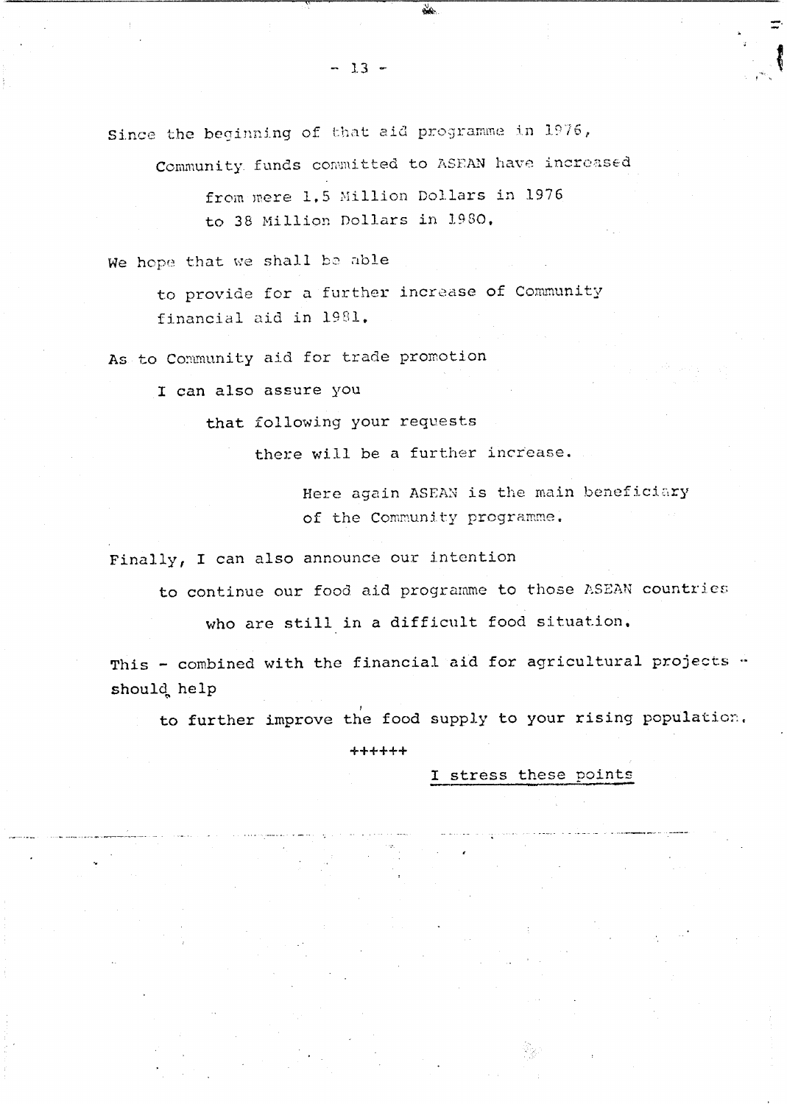Community funds committed to ASEAN have increased

from mere 1.5 Million Dollars in 1976 to 38 Million Dollars in 1980.

We hope that we shall be able

to provide for a further increase of Community financial aid in 1981.

As to Community aid for trade promotion

I can also assure you

that following your requests

there will be a further increase.

Here again ASEAN is the main beneficiary of the Community programme.

Finally, I can also announce our intention

to continue our food aid programme to those ASEAN countries

who are still in a difficult food situation.

This - combined with the financial aid for agricultural projects . should help

to further improve the food supply to your rising population.

++++++

I stress these points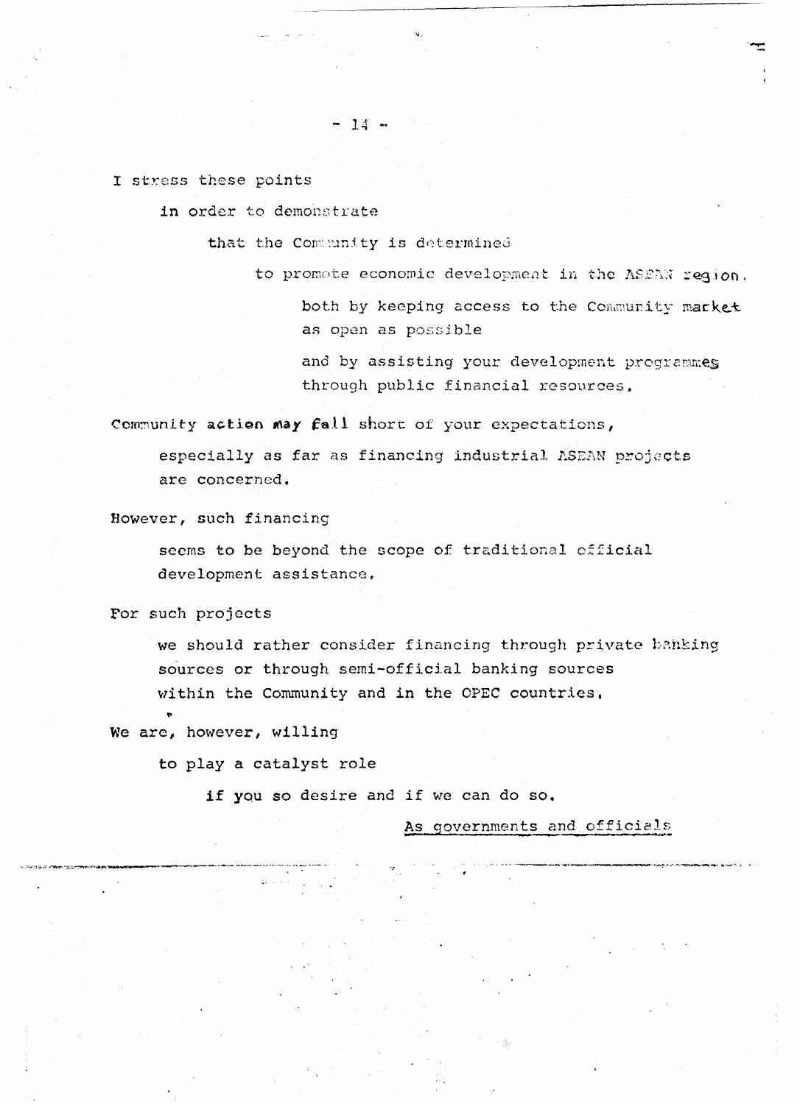I stress these points

in order to demonstrate

that the Community is determined

 $-14 -$ 

to promote economic development in the ASEAN region.

both by keeping access to the Community market as open as possible

and by assisting your development programmes through public financial resources.

Community action may fall short of your expectations,

especially as far as financing industrial ASEAN projects are concerned.

However, such financing

seems to be beyond the scope of traditional official development assistance.

For such projects

we should rather consider financing through private banking sources or through semi-official banking sources within the Community and in the OPEC countries.

We are, however, willing

to play a catalyst role

if you so desire and if we can do so.

As governments and officials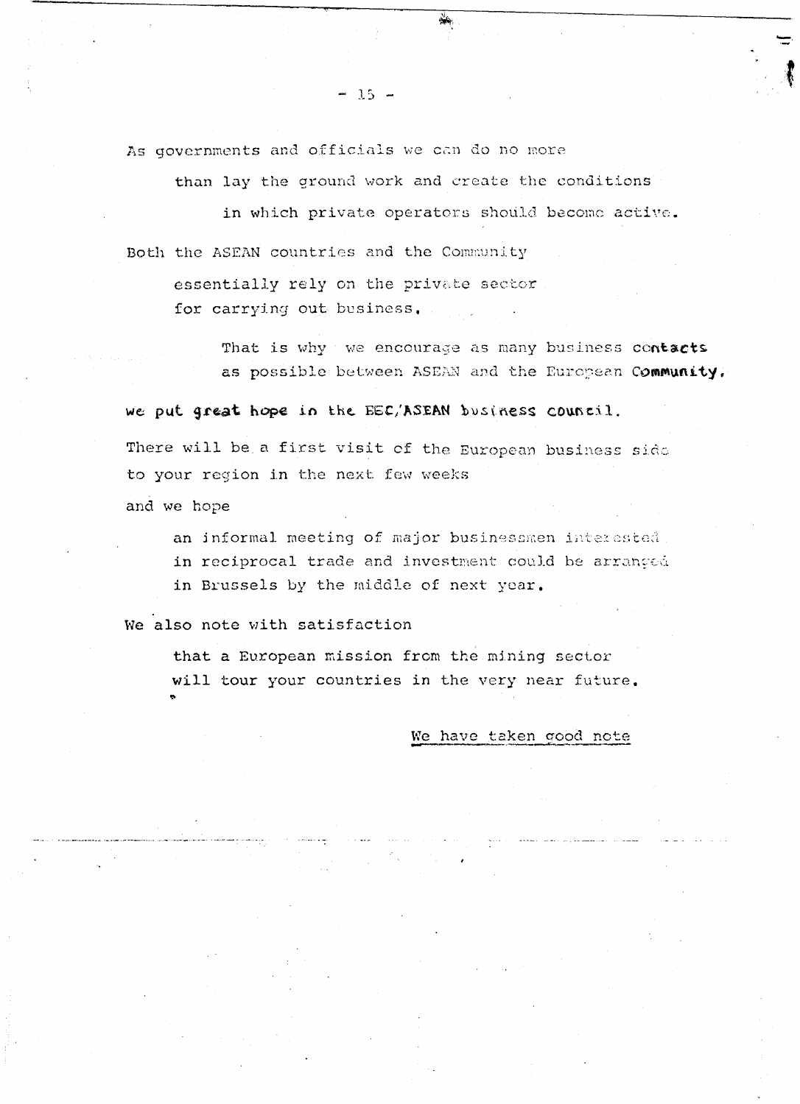As governments and officials we can do no more

than lay the ground work and create the conditions

 $\mathcal{N}_{\mathcal{N}}$ 

in which private operators should become active. Both the ASEAN countries and the Community

essentially rely on the private sector for carrying out business.

> That is why we encourage as many business contacts as possible between ASEAN and the European Community.

we put great hope in the EEC/ASEAN business council. There will be a first visit of the European business side to your region in the next few weeks

and we hope

an informal meeting of major businessmen interested in reciprocal trade and investment could be arranged in Brussels by the middle of next year.

We also note with satisfaction

that a European mission from the mining sector will tour your countries in the very near future.

#### We have taken good note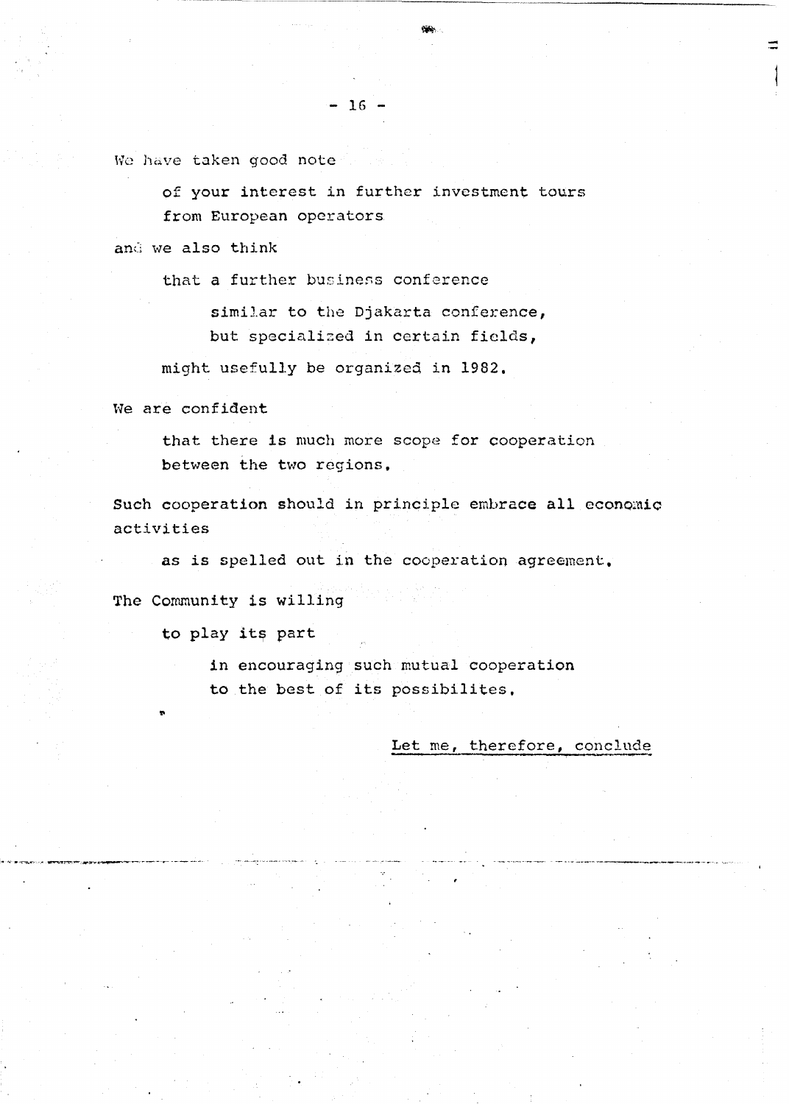We have taken good note

of your interest in further investment tours from European operators

and we also think

that a further business conference

similar to the Djakarta conference, but specialized in certain fields,

might usefully be organized in 1982,

We are confident

that there is much more scope for cooperation between the two regions.

Such cooperation should in principle embrace all economic activities

as is spelled out in the cooperation agreement.

The Community is willing

to play its part

in encouraging such mutual cooperation to the best of its possibilites.

Let me, therefore, conclude